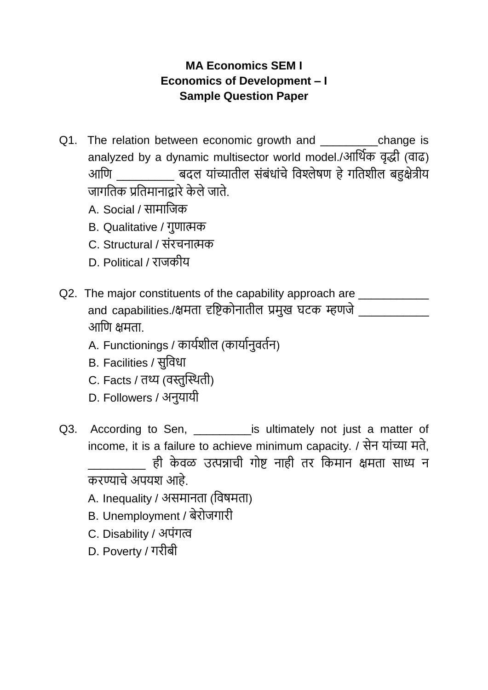## **MA Economics SEM I Economics of Development – I Sample Question Paper**

- Q1. The relation between economic growth and \_\_\_\_\_\_\_\_\_\_\_\_change is analyzed by a dynamic multisector world model./आर्थिक वृद्धी (वाढ) आणि व्यांच्यातील संबंधांचे विश्लेषण हे गतिशील बहुक्षेत्रीय जागर्तक प्रर्तमानाद्वारेके लेजाते.
	- A. Social / सामार्जक
	- B. Qualitative / गुणात्मक
	- C. Structural / संरचनात्मक
	- D. Political / राजकीय
- Q2. The major constituents of the capability approach are \_\_\_\_\_\_\_\_\_\_\_\_\_\_\_\_\_\_\_\_\_\_ and capabilities./क्षमता दृष्टिकोनातील प्रमुख घटक म्हणजे आणि क्षमता
	- A. Functionings / कायिशील (कायािनुवतिन)
	- B. Facilities / सुर्वधा
	- C. Facts / तथ्य (वस्तुस्थथती)
	- D. Followers / अनुयायी
- Q3. According to Sen, **Exercise is ultimately not just a matter of** income, it is a failure to achieve minimum capacity. / सेन यांच्या मते, \_\_\_\_\_\_\_\_\_ ही के वळ उत्पन्नाची गोि नाही तर र्कमान क्षमता साध्य न करण्याचे अपयश आहे.
	- A. Inequality / असमानता (र्वषमता)
	- B. Unemployment / बेरोजगारी
	- C. Disability / अपांगत्व
	- D. Poverty / गरीबी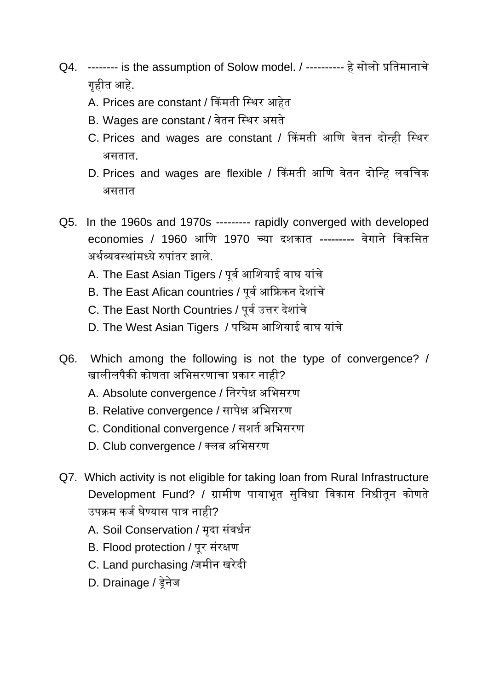- Q4. -------- is the assumption of Solow model. / ---------- हे सोलो प्रतिमानाचे गृहीत आहे.
	- A. Prices are constant / किंमती स्थिर आहेत
	- B. Wages are constant / वेतन स्थिर असते
	- C. Prices and wages are constant / किंमती आणि वेतन दोन्ही स्थिर असतात.
	- D. Prices and wages are flexible / किंमती आणि वेतन दोन्हि लवचिक असतात
- Q5. In the 1960s and 1970s --------- rapidly converged with developed economies / 1960 आणि 1970 च्या दशकात --------- वेगाने विकसित अर्थव्यवस्थांमध्ये रुपांतर झाले.
	- A. The East Asian Tigers / पूर्व आशियाई वाघ यांचे
	- B. The East Afican countries / पूर्व आफ्रिकन देशांचे
	- C. The East North Countries / पूर्व उत्तर देशांचे
	- D. The West Asian Tigers / पश्चिम आशियाई वाघ यांचे
- Q6. Which among the following is not the type of convergence? / खालीलपैकी कोणता अभिसरणाचा प्रकार नाही?
	- A. Absolute convergence / निरपेक्ष अभिसरण
	- B. Relative convergence / सापेक्ष अभिसरण
	- C. Conditional convergence / सशर्त अभिसरण
	- D. Club convergence / क्लब अभिसरण
- Q7. Which activity is not eligible for taking loan from Rural Infrastructure Development Fund? / ग्रामीण पायाभूत सुविधा विकास निधीतून कोणते उपक्रम कर्ज घेण्यास पात्र नाही?
	- A. Soil Conservation / मृदा संवर्धन
	- B. Flood protection / पूर संरक्षण
	- C. Land purchasing /र्मीन खरेदी
	- D. Drainage / ड्रेनेर्